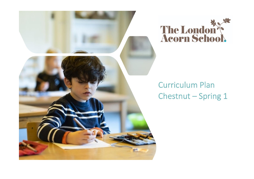



## **Curriculum Plan** Chestnut - Spring 1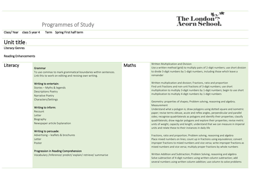## Programmes of Study



## Unit title :

Literacy Genres

## Reading Enhancements

| Use a written method (grid) to multiply pairs of 2-digit numbers; use short division<br>Grammar<br>to divide 3-digit numbers by 1-digit numbers, including those which leave a<br>To use commas to mark grammatical boundaries within sentences.<br>remainder<br>Link this to work on editing and revising own writing.<br>Written multiplication and division; Fractions, ratio and proportion<br>Writing to entertain:<br>Find unit fractions and non-unit fractions of 3-digit numbers; use short<br>Stories – Myths & legends<br>multiplication to multiply 3-digit numbers by 1-digit numbers; begin to use short<br><b>Descriptions Poetry</b><br>multiplication to multiply 4-digit numbers by 1-digit numbers<br>Narrative Poetry<br>Characters/Settings<br>Geometry: properties of shapes; Problem solving, reasoning and algebra;<br>Measurement<br>Writing to inform:<br>Understand what a polygon is; draw polygons using dotted square and isometric<br>Recount<br>paper; revise terms obtuse, acute and reflex angles, perpendicular and parallel<br>Letter<br>sides; recognise quadrilaterals as polygons and identify their properties; classify<br>Biography<br>quadrilaterals; draw regular polygons and explore their properties; revise metric<br>Newspaper article Explanation<br>units of weight, capacity and length; understand that we can measure in imperial<br>units and relate these to their instances in daily life<br>Writing to persuade:<br>Advertising - leaflets & brochures<br>Fractions, ratio and proportion; Problem solving, reasoning and algebra<br>Letter<br>Place mixed numbers on lines; count up in fractions using equivalence; convert<br>improper fractions to mixed numbers and vice versa; write improper fractions as<br>Poster<br>mixed numbers and vice versa; multiply proper fractions by whole numbers<br>Progression in Reading Comprehension<br>Written Addition and Subtraction; Problem Solving, reasoning and algebra<br>Vocabulary /Inference/ predict/ explain/ retrieve/ summarise<br>Solve subtraction of 4-digit numbers using written column subtraction; add<br>several numbers using written column addition; use column to solve problems | Literacy | <b>Maths</b> | Written Multiplication and Division |
|-------------------------------------------------------------------------------------------------------------------------------------------------------------------------------------------------------------------------------------------------------------------------------------------------------------------------------------------------------------------------------------------------------------------------------------------------------------------------------------------------------------------------------------------------------------------------------------------------------------------------------------------------------------------------------------------------------------------------------------------------------------------------------------------------------------------------------------------------------------------------------------------------------------------------------------------------------------------------------------------------------------------------------------------------------------------------------------------------------------------------------------------------------------------------------------------------------------------------------------------------------------------------------------------------------------------------------------------------------------------------------------------------------------------------------------------------------------------------------------------------------------------------------------------------------------------------------------------------------------------------------------------------------------------------------------------------------------------------------------------------------------------------------------------------------------------------------------------------------------------------------------------------------------------------------------------------------------------------------------------------------------------------------------------------------------------------------------------------------------------------------------------------------------------------------------------------------------------|----------|--------------|-------------------------------------|
|                                                                                                                                                                                                                                                                                                                                                                                                                                                                                                                                                                                                                                                                                                                                                                                                                                                                                                                                                                                                                                                                                                                                                                                                                                                                                                                                                                                                                                                                                                                                                                                                                                                                                                                                                                                                                                                                                                                                                                                                                                                                                                                                                                                                                   |          |              |                                     |
|                                                                                                                                                                                                                                                                                                                                                                                                                                                                                                                                                                                                                                                                                                                                                                                                                                                                                                                                                                                                                                                                                                                                                                                                                                                                                                                                                                                                                                                                                                                                                                                                                                                                                                                                                                                                                                                                                                                                                                                                                                                                                                                                                                                                                   |          |              |                                     |
|                                                                                                                                                                                                                                                                                                                                                                                                                                                                                                                                                                                                                                                                                                                                                                                                                                                                                                                                                                                                                                                                                                                                                                                                                                                                                                                                                                                                                                                                                                                                                                                                                                                                                                                                                                                                                                                                                                                                                                                                                                                                                                                                                                                                                   |          |              |                                     |
|                                                                                                                                                                                                                                                                                                                                                                                                                                                                                                                                                                                                                                                                                                                                                                                                                                                                                                                                                                                                                                                                                                                                                                                                                                                                                                                                                                                                                                                                                                                                                                                                                                                                                                                                                                                                                                                                                                                                                                                                                                                                                                                                                                                                                   |          |              |                                     |
|                                                                                                                                                                                                                                                                                                                                                                                                                                                                                                                                                                                                                                                                                                                                                                                                                                                                                                                                                                                                                                                                                                                                                                                                                                                                                                                                                                                                                                                                                                                                                                                                                                                                                                                                                                                                                                                                                                                                                                                                                                                                                                                                                                                                                   |          |              |                                     |
|                                                                                                                                                                                                                                                                                                                                                                                                                                                                                                                                                                                                                                                                                                                                                                                                                                                                                                                                                                                                                                                                                                                                                                                                                                                                                                                                                                                                                                                                                                                                                                                                                                                                                                                                                                                                                                                                                                                                                                                                                                                                                                                                                                                                                   |          |              |                                     |
|                                                                                                                                                                                                                                                                                                                                                                                                                                                                                                                                                                                                                                                                                                                                                                                                                                                                                                                                                                                                                                                                                                                                                                                                                                                                                                                                                                                                                                                                                                                                                                                                                                                                                                                                                                                                                                                                                                                                                                                                                                                                                                                                                                                                                   |          |              |                                     |
|                                                                                                                                                                                                                                                                                                                                                                                                                                                                                                                                                                                                                                                                                                                                                                                                                                                                                                                                                                                                                                                                                                                                                                                                                                                                                                                                                                                                                                                                                                                                                                                                                                                                                                                                                                                                                                                                                                                                                                                                                                                                                                                                                                                                                   |          |              |                                     |
|                                                                                                                                                                                                                                                                                                                                                                                                                                                                                                                                                                                                                                                                                                                                                                                                                                                                                                                                                                                                                                                                                                                                                                                                                                                                                                                                                                                                                                                                                                                                                                                                                                                                                                                                                                                                                                                                                                                                                                                                                                                                                                                                                                                                                   |          |              |                                     |
|                                                                                                                                                                                                                                                                                                                                                                                                                                                                                                                                                                                                                                                                                                                                                                                                                                                                                                                                                                                                                                                                                                                                                                                                                                                                                                                                                                                                                                                                                                                                                                                                                                                                                                                                                                                                                                                                                                                                                                                                                                                                                                                                                                                                                   |          |              |                                     |
|                                                                                                                                                                                                                                                                                                                                                                                                                                                                                                                                                                                                                                                                                                                                                                                                                                                                                                                                                                                                                                                                                                                                                                                                                                                                                                                                                                                                                                                                                                                                                                                                                                                                                                                                                                                                                                                                                                                                                                                                                                                                                                                                                                                                                   |          |              |                                     |

The London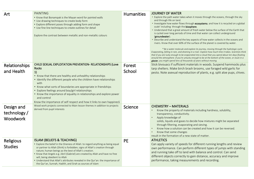| Art                                    | <b>PAINTING</b><br>• Know that Bonampak is the Mayan word for painted walls<br>• Use drawing techniques to create body form<br>• Explore different poses through adding form and shape<br>• Use fine line techniques to create outlines for detail<br>Explore the contrast between metallic and non-metallic colours                                                                                                                                                                                                               | <b>Humanities</b> | <b>JOURNEY OF WATER</b><br>• Explore the path water takes when it moves through the oceans, through the sky<br>and through life on land.<br>• Investigate how water flows through ecosystems. and how it is recycled on a global<br>scale' including through the biosphere.<br>. Understand that a great amount of fresh water below the surface of the Earth that<br>is cycled over long periods of time and that water can collect underground<br>(groundwater).<br>• Describe and understand the key aspects of how water collects in the oceans and<br>rivers. Know that over 60% of the surface of the planet is covered by water.<br>* Be a water molecule and explore its journey, moving through the hydrologic cycle.<br>Evaporating, falling in rain, and draining in a river. Explore how much time it takes. Scientists think<br>that if you are lucky enough to be evaporated into a cloud that you spend about ten days floating<br>around the atmosphere. If you're unlucky enough to be at the bottom of the ocean, or stuck in a<br>glacier, you might spend tens of thousands of years without moving. |
|----------------------------------------|------------------------------------------------------------------------------------------------------------------------------------------------------------------------------------------------------------------------------------------------------------------------------------------------------------------------------------------------------------------------------------------------------------------------------------------------------------------------------------------------------------------------------------|-------------------|--------------------------------------------------------------------------------------------------------------------------------------------------------------------------------------------------------------------------------------------------------------------------------------------------------------------------------------------------------------------------------------------------------------------------------------------------------------------------------------------------------------------------------------------------------------------------------------------------------------------------------------------------------------------------------------------------------------------------------------------------------------------------------------------------------------------------------------------------------------------------------------------------------------------------------------------------------------------------------------------------------------------------------------------------------------------------------------------------------------------------|
| Relationships<br>and Health            | CHILD SEXUAL EXPLOITATION PREVENTION- RELATIONSHIPS (Love<br><b>Rocks</b><br>1)<br>• Know that there are healthy and unhealthy relationships<br>• Identify the different people who the children have relationships<br>with<br>• Know what sorts of boundaries are appropriate in friendships<br>• Explore feelings around boy/girl relationships<br>• Know the importance of equality in relationships and explore power<br>and control<br>Know the importance of self respect and how it links to own happinesS                  | Forest<br>School  | Stick bivouacs if sufficient materials in woods. Suspend hammocks plus<br>tarp shelters. Make birch brash brooms, use foraged wild garlic for<br>pesto. Note asexual reproduction of plants, e.g. split aloe pups, chives.                                                                                                                                                                                                                                                                                                                                                                                                                                                                                                                                                                                                                                                                                                                                                                                                                                                                                               |
| Design and<br>technology /<br>Woodwork | Wood work projects connected to Main lesson themes in addition to projects<br>derived from pupil interests                                                                                                                                                                                                                                                                                                                                                                                                                         | Science           | <b>CHEMISTRY - MATERIALS</b><br>Know the property of materials including hardness, solubility,<br>transparency, conductivity.<br>Apply knowledge of<br>solids, liquids and gases to decide how mixtures might be separated<br>through filtering, evaporating and sieving.<br>Know how a solution can be created and how it can be reversed.<br>Know that some changes<br>result in the formation of a new state of matter.                                                                                                                                                                                                                                                                                                                                                                                                                                                                                                                                                                                                                                                                                               |
| <b>Religious</b><br><b>Studies</b>     | <b>ISLAM (BELIEFS &amp; TEACHING)</b><br>• Explore the belief in the Oneness of Allah: to regard anything as being equal<br>or partner to Allah (Shirk) is forbidden; signs of Allah's creation through<br>nature; human beings as the best of Allah's creation.<br>• Know that Angels e.g. Jibril (Gabriel) are created by Allah and have no free<br>will, being obedient to Allah<br>• Understand that Allah's attributes revealed in the Qur'an: the importance of<br>the Qur'an, Sunnah, Hadith, and Sirah as sources of Islam | <b>PE</b>         | <b>ATHLETICS</b><br>Can apply variety of speeds for different running lengths and review<br>own performance. Can perform different types of jumps with standing<br>and running take off to land with balance and control. Can send<br>different objects correctly to gain distance, accuracy and improve<br>performance, taking measurements and recording.                                                                                                                                                                                                                                                                                                                                                                                                                                                                                                                                                                                                                                                                                                                                                              |